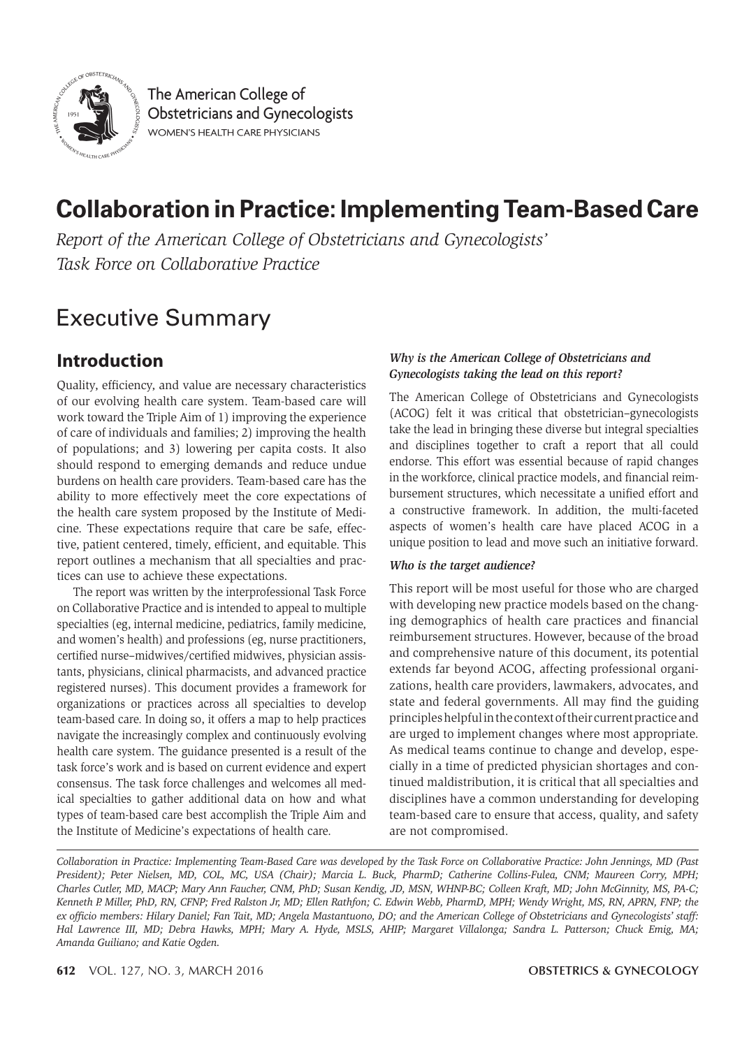

The American College of **Obstetricians and Gynecologists WOMEN'S HEALTH CARE PHYSICIANS** 

# **Collaboration in Practice: Implementing Team-Based Care**

*Report of the American College of Obstetricians and Gynecologists' Task Force on Collaborative Practice* 

# Executive Summary

## **Introduction**

Quality, efficiency, and value are necessary characteristics of our evolving health care system. Team-based care will work toward the Triple Aim of 1) improving the experience of care of individuals and families; 2) improving the health of populations; and 3) lowering per capita costs. It also should respond to emerging demands and reduce undue burdens on health care providers. Team-based care has the ability to more effectively meet the core expectations of the health care system proposed by the Institute of Medicine. These expectations require that care be safe, effective, patient centered, timely, efficient, and equitable. This report outlines a mechanism that all specialties and practices can use to achieve these expectations.

The report was written by the interprofessional Task Force on Collaborative Practice and is intended to appeal to multiple specialties (eg, internal medicine, pediatrics, family medicine, and women's health) and professions (eg, nurse practitioners, certified nurse–midwives/certified midwives, physician assistants, physicians, clinical pharmacists, and advanced practice registered nurses). This document provides a framework for organizations or practices across all specialties to develop team-based care. In doing so, it offers a map to help practices navigate the increasingly complex and continuously evolving health care system. The guidance presented is a result of the task force's work and is based on current evidence and expert consensus. The task force challenges and welcomes all medical specialties to gather additional data on how and what types of team-based care best accomplish the Triple Aim and the Institute of Medicine's expectations of health care.

#### *Why is the American College of Obstetricians and Gynecologists taking the lead on this report?*

The American College of Obstetricians and Gynecologists (ACOG) felt it was critical that obstetrician–gynecologists take the lead in bringing these diverse but integral specialties and disciplines together to craft a report that all could endorse. This effort was essential because of rapid changes in the workforce, clinical practice models, and financial reimbursement structures, which necessitate a unified effort and a constructive framework. In addition, the multi-faceted aspects of women's health care have placed ACOG in a unique position to lead and move such an initiative forward.

#### *Who is the target audience?*

This report will be most useful for those who are charged with developing new practice models based on the changing demographics of health care practices and financial reimbursement structures. However, because of the broad and comprehensive nature of this document, its potential extends far beyond ACOG, affecting professional organizations, health care providers, lawmakers, advocates, and state and federal governments. All may find the guiding principles helpful in the context of their current practice and are urged to implement changes where most appropriate. As medical teams continue to change and develop, especially in a time of predicted physician shortages and continued maldistribution, it is critical that all specialties and disciplines have a common understanding for developing team-based care to ensure that access, quality, and safety are not compromised.

*Collaboration in Practice: Implementing Team-Based Care was developed by the Task Force on Collaborative Practice: John Jennings, MD (Past President); Peter Nielsen, MD, COL, MC, USA (Chair); Marcia L. Buck, PharmD; Catherine Collins-Fulea, CNM; Maureen Corry, MPH; Charles Cutler, MD, MACP; Mary Ann Faucher, CNM, PhD; Susan Kendig, JD, MSN, WHNP-BC; Colleen Kraft, MD; John McGinnity, MS, PA-C; Kenneth P. Miller, PhD, RN, CFNP; Fred Ralston Jr, MD; Ellen Rathfon; C. Edwin Webb, PharmD, MPH; Wendy Wright, MS, RN, APRN, FNP; the ex officio members: Hilary Daniel; Fan Tait, MD; Angela Mastantuono, DO; and the American College of Obstetricians and Gynecologists' staff: Hal Lawrence III, MD; Debra Hawks, MPH; Mary A. Hyde, MSLS, AHIP; Margaret Villalonga; Sandra L. Patterson; Chuck Emig, MA; Amanda Guiliano; and Katie Ogden.*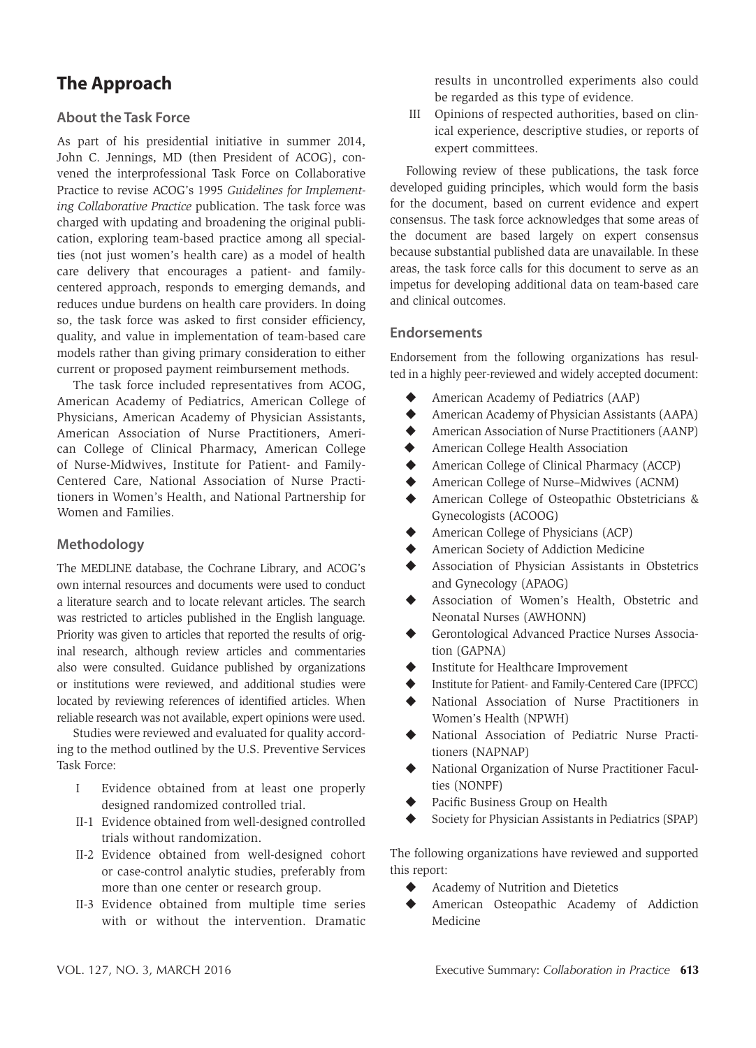# **The Approach**

#### **About the Task Force**

As part of his presidential initiative in summer 2014, John C. Jennings, MD (then President of ACOG), convened the interprofessional Task Force on Collaborative Practice to revise ACOG's 1995 *Guidelines for Implementing Collaborative Practice* publication. The task force was charged with updating and broadening the original publication, exploring team-based practice among all specialties (not just women's health care) as a model of health care delivery that encourages a patient- and familycentered approach, responds to emerging demands, and reduces undue burdens on health care providers. In doing so, the task force was asked to first consider efficiency, quality, and value in implementation of team-based care models rather than giving primary consideration to either current or proposed payment reimbursement methods.

The task force included representatives from ACOG, American Academy of Pediatrics, American College of Physicians, American Academy of Physician Assistants, American Association of Nurse Practitioners, American College of Clinical Pharmacy, American College of Nurse-Midwives, Institute for Patient- and Family-Centered Care, National Association of Nurse Practitioners in Women's Health, and National Partnership for Women and Families.

#### **Methodology**

The MEDLINE database, the Cochrane Library, and ACOG's own internal resources and documents were used to conduct a literature search and to locate relevant articles. The search was restricted to articles published in the English language. Priority was given to articles that reported the results of original research, although review articles and commentaries also were consulted. Guidance published by organizations or institutions were reviewed, and additional studies were located by reviewing references of identified articles. When reliable research was not available, expert opinions were used.

Studies were reviewed and evaluated for quality according to the method outlined by the U.S. Preventive Services Task Force:

- I Evidence obtained from at least one properly designed randomized controlled trial.
- II-1 Evidence obtained from well-designed controlled trials without randomization.
- II-2 Evidence obtained from well-designed cohort or case-control analytic studies, preferably from more than one center or research group.
- II-3 Evidence obtained from multiple time series with or without the intervention. Dramatic

results in uncontrolled experiments also could be regarded as this type of evidence.

III Opinions of respected authorities, based on clinical experience, descriptive studies, or reports of expert committees.

Following review of these publications, the task force developed guiding principles, which would form the basis for the document, based on current evidence and expert consensus. The task force acknowledges that some areas of the document are based largely on expert consensus because substantial published data are unavailable. In these areas, the task force calls for this document to serve as an impetus for developing additional data on team-based care and clinical outcomes.

#### **Endorsements**

Endorsement from the following organizations has resulted in a highly peer-reviewed and widely accepted document:

- American Academy of Pediatrics (AAP)
- American Academy of Physician Assistants (AAPA)
- American Association of Nurse Practitioners (AANP)
- ◆ American College Health Association
- American College of Clinical Pharmacy (ACCP)
- ◆ American College of Nurse–Midwives (ACNM)
- American College of Osteopathic Obstetricians & Gynecologists (ACOOG)
- American College of Physicians (ACP)
- American Society of Addiction Medicine
- Association of Physician Assistants in Obstetrics and Gynecology (APAOG)
- Association of Women's Health, Obstetric and Neonatal Nurses (AWHONN)
- Gerontological Advanced Practice Nurses Association (GAPNA)
- Institute for Healthcare Improvement
- Institute for Patient- and Family-Centered Care (IPFCC)
- National Association of Nurse Practitioners in Women's Health (NPWH)
- National Association of Pediatric Nurse Practitioners (NAPNAP)
- National Organization of Nurse Practitioner Faculties (NONPF)
- Pacific Business Group on Health
- Society for Physician Assistants in Pediatrics (SPAP)

The following organizations have reviewed and supported this report:

- ◆ Academy of Nutrition and Dietetics
- American Osteopathic Academy of Addiction Medicine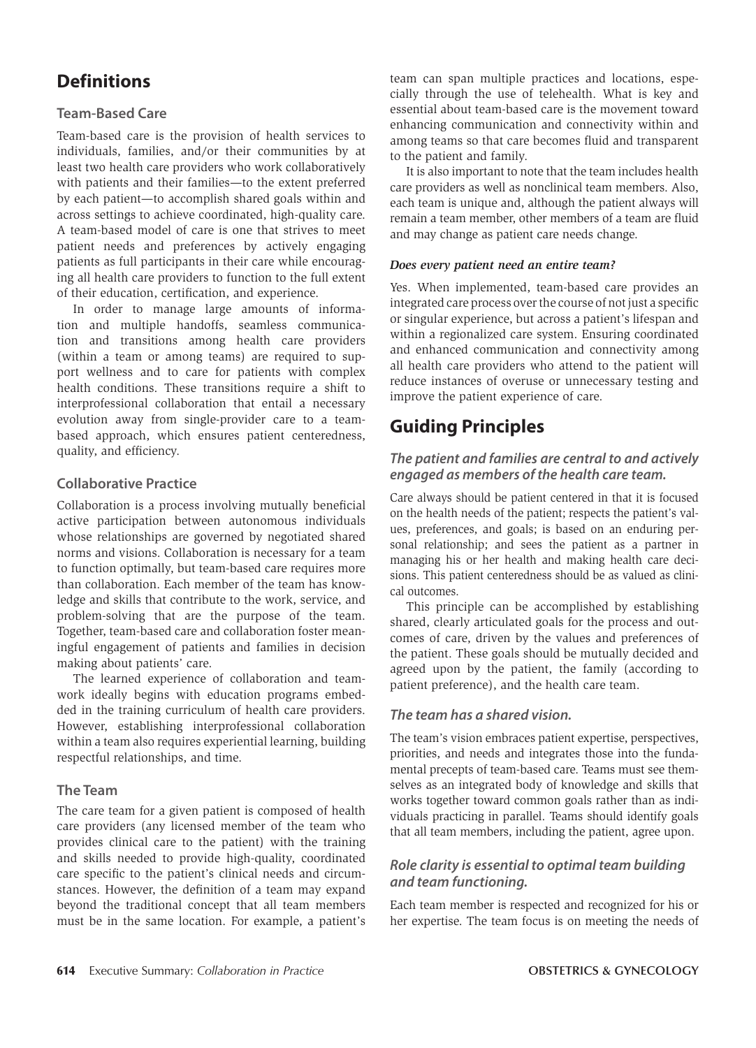# **Definitions**

#### **Team-Based Care**

Team-based care is the provision of health services to individuals, families, and/or their communities by at least two health care providers who work collaboratively with patients and their families—to the extent preferred by each patient—to accomplish shared goals within and across settings to achieve coordinated, high-quality care. A team-based model of care is one that strives to meet patient needs and preferences by actively engaging patients as full participants in their care while encouraging all health care providers to function to the full extent of their education, certification, and experience.

In order to manage large amounts of information and multiple handoffs, seamless communication and transitions among health care providers (within a team or among teams) are required to support wellness and to care for patients with complex health conditions. These transitions require a shift to interprofessional collaboration that entail a necessary evolution away from single-provider care to a teambased approach, which ensures patient centeredness, quality, and efficiency.

#### **Collaborative Practice**

Collaboration is a process involving mutually beneficial active participation between autonomous individuals whose relationships are governed by negotiated shared norms and visions. Collaboration is necessary for a team to function optimally, but team-based care requires more than collaboration. Each member of the team has knowledge and skills that contribute to the work, service, and problem-solving that are the purpose of the team. Together, team-based care and collaboration foster meaningful engagement of patients and families in decision making about patients' care.

The learned experience of collaboration and teamwork ideally begins with education programs embedded in the training curriculum of health care providers. However, establishing interprofessional collaboration within a team also requires experiential learning, building respectful relationships, and time.

#### **The Team**

The care team for a given patient is composed of health care providers (any licensed member of the team who provides clinical care to the patient) with the training and skills needed to provide high-quality, coordinated care specific to the patient's clinical needs and circumstances. However, the definition of a team may expand beyond the traditional concept that all team members must be in the same location. For example, a patient's team can span multiple practices and locations, especially through the use of telehealth. What is key and essential about team-based care is the movement toward enhancing communication and connectivity within and among teams so that care becomes fluid and transparent to the patient and family.

It is also important to note that the team includes health care providers as well as nonclinical team members. Also, each team is unique and, although the patient always will remain a team member, other members of a team are fluid and may change as patient care needs change.

#### *Does every patient need an entire team?*

Yes. When implemented, team-based care provides an integrated care process over the course of not just a specific or singular experience, but across a patient's lifespan and within a regionalized care system. Ensuring coordinated and enhanced communication and connectivity among all health care providers who attend to the patient will reduce instances of overuse or unnecessary testing and improve the patient experience of care.

# **Guiding Principles**

#### *The patient and families are central to and actively engaged as members of the health care team.*

Care always should be patient centered in that it is focused on the health needs of the patient; respects the patient's values, preferences, and goals; is based on an enduring personal relationship; and sees the patient as a partner in managing his or her health and making health care decisions. This patient centeredness should be as valued as clinical outcomes.

This principle can be accomplished by establishing shared, clearly articulated goals for the process and outcomes of care, driven by the values and preferences of the patient. These goals should be mutually decided and agreed upon by the patient, the family (according to patient preference), and the health care team.

#### *The team has a shared vision.*

The team's vision embraces patient expertise, perspectives, priorities, and needs and integrates those into the fundamental precepts of team-based care. Teams must see themselves as an integrated body of knowledge and skills that works together toward common goals rather than as individuals practicing in parallel. Teams should identify goals that all team members, including the patient, agree upon.

#### *Role clarity is essential to optimal team building and team functioning.*

Each team member is respected and recognized for his or her expertise. The team focus is on meeting the needs of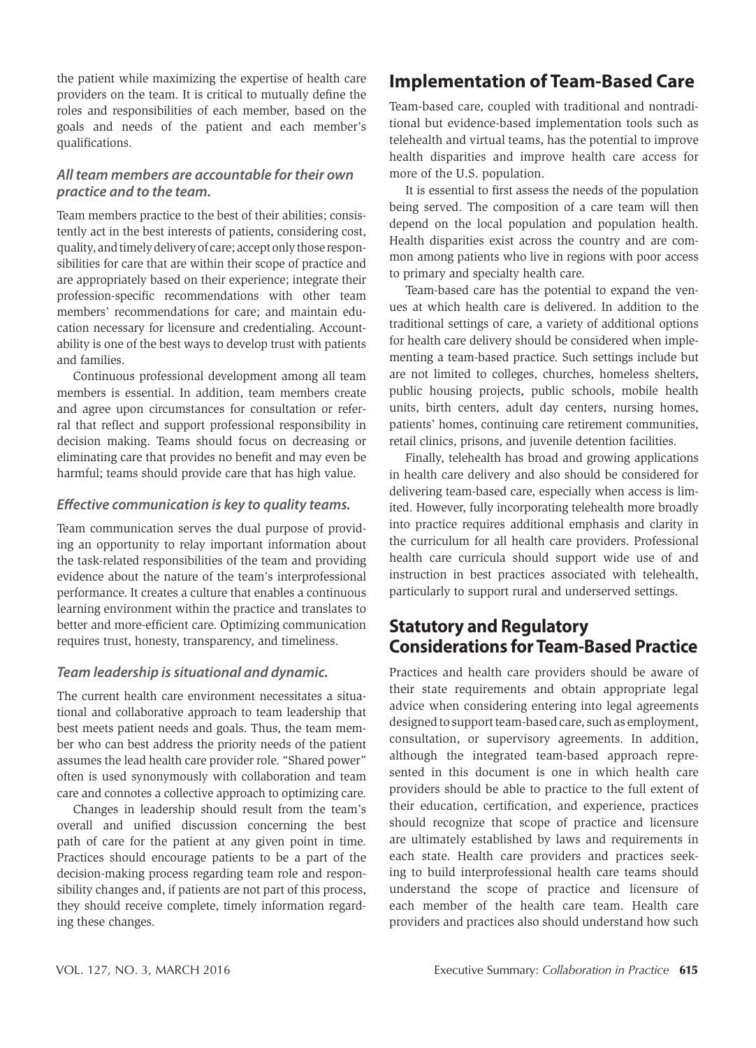the patient while maximizing the expertise of health care providers on the team. It is critical to mutually define the roles and responsibilities of each member, based on the goals and needs of the patient and each member's qualifications.

#### *All team members are accountable for their own practice and to the team.*

Team members practice to the best of their abilities; consistently act in the best interests of patients, considering cost, quality, and timely delivery of care; accept only those responsibilities for care that are within their scope of practice and are appropriately based on their experience; integrate their profession-specific recommendations with other team members' recommendations for care; and maintain education necessary for licensure and credentialing. Accountability is one of the best ways to develop trust with patients and families.

Continuous professional development among all team members is essential. In addition, team members create and agree upon circumstances for consultation or referral that reflect and support professional responsibility in decision making. Teams should focus on decreasing or eliminating care that provides no benefit and may even be harmful; teams should provide care that has high value.

#### *Effective communication is key to quality teams.*

Team communication serves the dual purpose of providing an opportunity to relay important information about the task-related responsibilities of the team and providing evidence about the nature of the team's interprofessional performance. It creates a culture that enables a continuous learning environment within the practice and translates to better and more-efficient care. Optimizing communication requires trust, honesty, transparency, and timeliness.

#### *Team leadership is situational and dynamic.*

The current health care environment necessitates a situational and collaborative approach to team leadership that best meets patient needs and goals. Thus, the team member who can best address the priority needs of the patient assumes the lead health care provider role. "Shared power" often is used synonymously with collaboration and team care and connotes a collective approach to optimizing care.

Changes in leadership should result from the team's overall and unified discussion concerning the best path of care for the patient at any given point in time. Practices should encourage patients to be a part of the decision-making process regarding team role and responsibility changes and, if patients are not part of this process, they should receive complete, timely information regarding these changes.

# **Implementation of Team-Based Care**

Team-based care, coupled with traditional and nontraditional but evidence-based implementation tools such as telehealth and virtual teams, has the potential to improve health disparities and improve health care access for more of the U.S. population.

It is essential to first assess the needs of the population being served. The composition of a care team will then depend on the local population and population health. Health disparities exist across the country and are common among patients who live in regions with poor access to primary and specialty health care.

Team-based care has the potential to expand the venues at which health care is delivered. In addition to the traditional settings of care, a variety of additional options for health care delivery should be considered when implementing a team-based practice. Such settings include but are not limited to colleges, churches, homeless shelters, public housing projects, public schools, mobile health units, birth centers, adult day centers, nursing homes, patients' homes, continuing care retirement communities, retail clinics, prisons, and juvenile detention facilities.

Finally, telehealth has broad and growing applications in health care delivery and also should be considered for delivering team-based care, especially when access is limited. However, fully incorporating telehealth more broadly into practice requires additional emphasis and clarity in the curriculum for all health care providers. Professional health care curricula should support wide use of and instruction in best practices associated with telehealth, particularly to support rural and underserved settings.

### **Statutory and Regulatory Considerations for Team-Based Practice**

Practices and health care providers should be aware of their state requirements and obtain appropriate legal advice when considering entering into legal agreements designed to support team-based care, such as employment, consultation, or supervisory agreements. In addition, although the integrated team-based approach represented in this document is one in which health care providers should be able to practice to the full extent of their education, certification, and experience, practices should recognize that scope of practice and licensure are ultimately established by laws and requirements in each state. Health care providers and practices seeking to build interprofessional health care teams should understand the scope of practice and licensure of each member of the health care team. Health care providers and practices also should understand how such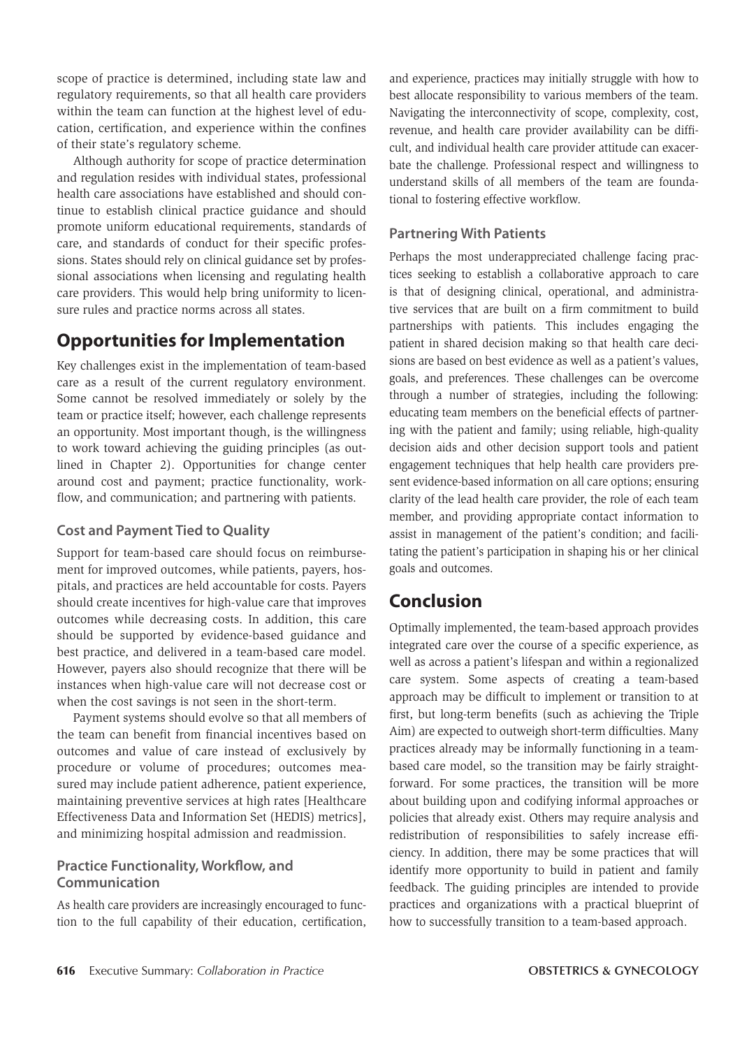scope of practice is determined, including state law and regulatory requirements, so that all health care providers within the team can function at the highest level of education, certification, and experience within the confines of their state's regulatory scheme.

Although authority for scope of practice determination and regulation resides with individual states, professional health care associations have established and should continue to establish clinical practice guidance and should promote uniform educational requirements, standards of care, and standards of conduct for their specific professions. States should rely on clinical guidance set by professional associations when licensing and regulating health care providers. This would help bring uniformity to licensure rules and practice norms across all states.

### **Opportunities for Implementation**

Key challenges exist in the implementation of team-based care as a result of the current regulatory environment. Some cannot be resolved immediately or solely by the team or practice itself; however, each challenge represents an opportunity. Most important though, is the willingness to work toward achieving the guiding principles (as outlined in Chapter 2). Opportunities for change center around cost and payment; practice functionality, workflow, and communication; and partnering with patients.

#### **Cost and Payment Tied to Quality**

Support for team-based care should focus on reimbursement for improved outcomes, while patients, payers, hospitals, and practices are held accountable for costs. Payers should create incentives for high-value care that improves outcomes while decreasing costs. In addition, this care should be supported by evidence-based guidance and best practice, and delivered in a team-based care model. However, payers also should recognize that there will be instances when high-value care will not decrease cost or when the cost savings is not seen in the short-term.

Payment systems should evolve so that all members of the team can benefit from financial incentives based on outcomes and value of care instead of exclusively by procedure or volume of procedures; outcomes measured may include patient adherence, patient experience, maintaining preventive services at high rates [Healthcare Effectiveness Data and Information Set (HEDIS) metrics], and minimizing hospital admission and readmission.

#### **Practice Functionality, Workflow, and Communication**

As health care providers are increasingly encouraged to function to the full capability of their education, certification,

and experience, practices may initially struggle with how to best allocate responsibility to various members of the team. Navigating the interconnectivity of scope, complexity, cost, revenue, and health care provider availability can be difficult, and individual health care provider attitude can exacerbate the challenge. Professional respect and willingness to understand skills of all members of the team are foundational to fostering effective workflow.

#### **Partnering With Patients**

Perhaps the most underappreciated challenge facing practices seeking to establish a collaborative approach to care is that of designing clinical, operational, and administrative services that are built on a firm commitment to build partnerships with patients. This includes engaging the patient in shared decision making so that health care decisions are based on best evidence as well as a patient's values, goals, and preferences. These challenges can be overcome through a number of strategies, including the following: educating team members on the beneficial effects of partnering with the patient and family; using reliable, high-quality decision aids and other decision support tools and patient engagement techniques that help health care providers present evidence-based information on all care options; ensuring clarity of the lead health care provider, the role of each team member, and providing appropriate contact information to assist in management of the patient's condition; and facilitating the patient's participation in shaping his or her clinical goals and outcomes.

# **Conclusion**

Optimally implemented, the team-based approach provides integrated care over the course of a specific experience, as well as across a patient's lifespan and within a regionalized care system. Some aspects of creating a team-based approach may be difficult to implement or transition to at first, but long-term benefits (such as achieving the Triple Aim) are expected to outweigh short-term difficulties. Many practices already may be informally functioning in a teambased care model, so the transition may be fairly straightforward. For some practices, the transition will be more about building upon and codifying informal approaches or policies that already exist. Others may require analysis and redistribution of responsibilities to safely increase efficiency. In addition, there may be some practices that will identify more opportunity to build in patient and family feedback. The guiding principles are intended to provide practices and organizations with a practical blueprint of how to successfully transition to a team-based approach.